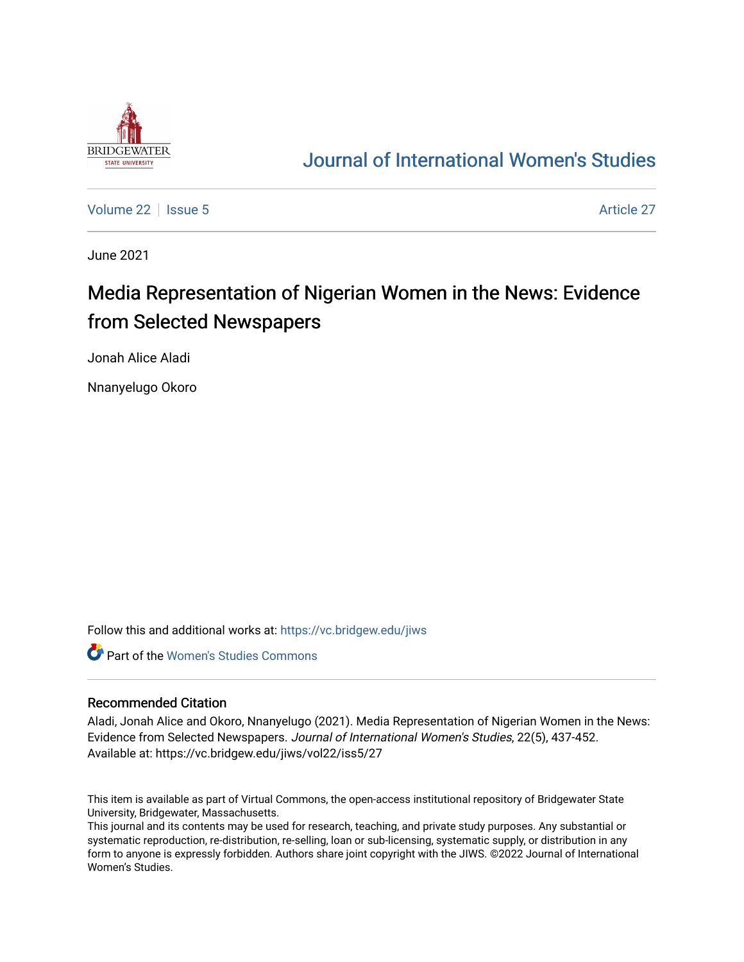

## [Journal of International Women's Studies](https://vc.bridgew.edu/jiws)

[Volume 22](https://vc.bridgew.edu/jiws/vol22) | [Issue 5](https://vc.bridgew.edu/jiws/vol22/iss5) Article 27

June 2021

# Media Representation of Nigerian Women in the News: Evidence from Selected Newspapers

Jonah Alice Aladi

Nnanyelugo Okoro

Follow this and additional works at: [https://vc.bridgew.edu/jiws](https://vc.bridgew.edu/jiws?utm_source=vc.bridgew.edu%2Fjiws%2Fvol22%2Fiss5%2F27&utm_medium=PDF&utm_campaign=PDFCoverPages)

**C** Part of the Women's Studies Commons

#### Recommended Citation

Aladi, Jonah Alice and Okoro, Nnanyelugo (2021). Media Representation of Nigerian Women in the News: Evidence from Selected Newspapers. Journal of International Women's Studies, 22(5), 437-452. Available at: https://vc.bridgew.edu/jiws/vol22/iss5/27

This item is available as part of Virtual Commons, the open-access institutional repository of Bridgewater State University, Bridgewater, Massachusetts.

This journal and its contents may be used for research, teaching, and private study purposes. Any substantial or systematic reproduction, re-distribution, re-selling, loan or sub-licensing, systematic supply, or distribution in any form to anyone is expressly forbidden. Authors share joint copyright with the JIWS. ©2022 Journal of International Women's Studies.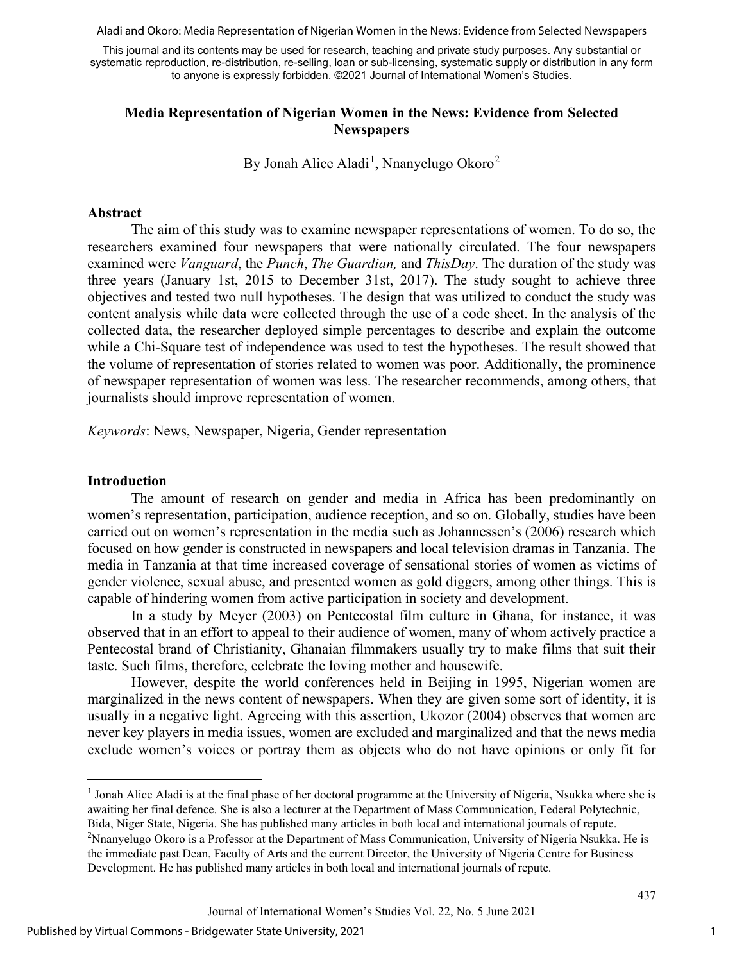Aladi and Okoro: Media Representation of Nigerian Women in the News: Evidence from Selected Newspapers

This journal and its contents may be used for research, teaching and private study purposes. Any substantial or systematic reproduction, re-distribution, re-selling, loan or sub-licensing, systematic supply or distribution in any form to anyone is expressly forbidden. ©2021 Journal of International Women's Studies.

## **Media Representation of Nigerian Women in the News: Evidence from Selected Newspapers**

By Jonah Alice Aladi<sup>[1](#page-1-0)</sup>, Nnanyelugo Okoro<sup>[2](#page-1-1)</sup>

#### **Abstract**

The aim of this study was to examine newspaper representations of women. To do so, the researchers examined four newspapers that were nationally circulated. The four newspapers examined were *Vanguard*, the *Punch*, *The Guardian,* and *ThisDay*. The duration of the study was three years (January 1st, 2015 to December 31st, 2017). The study sought to achieve three objectives and tested two null hypotheses. The design that was utilized to conduct the study was content analysis while data were collected through the use of a code sheet. In the analysis of the collected data, the researcher deployed simple percentages to describe and explain the outcome while a Chi-Square test of independence was used to test the hypotheses. The result showed that the volume of representation of stories related to women was poor. Additionally, the prominence of newspaper representation of women was less. The researcher recommends, among others, that journalists should improve representation of women.

*Keywords*: News, Newspaper, Nigeria, Gender representation

#### **Introduction**

The amount of research on gender and media in Africa has been predominantly on women's representation, participation, audience reception, and so on. Globally, studies have been carried out on women's representation in the media such as Johannessen's (2006) research which focused on how gender is constructed in newspapers and local television dramas in Tanzania. The media in Tanzania at that time increased coverage of sensational stories of women as victims of gender violence, sexual abuse, and presented women as gold diggers, among other things. This is capable of hindering women from active participation in society and development.

In a study by Meyer (2003) on Pentecostal film culture in Ghana, for instance, it was observed that in an effort to appeal to their audience of women, many of whom actively practice a Pentecostal brand of Christianity, Ghanaian filmmakers usually try to make films that suit their taste. Such films, therefore, celebrate the loving mother and housewife.

However, despite the world conferences held in Beijing in 1995, Nigerian women are marginalized in the news content of newspapers. When they are given some sort of identity, it is usually in a negative light. Agreeing with this assertion, Ukozor (2004) observes that women are never key players in media issues, women are excluded and marginalized and that the news media exclude women's voices or portray them as objects who do not have opinions or only fit for

<span id="page-1-1"></span><span id="page-1-0"></span><sup>&</sup>lt;sup>1</sup> Jonah Alice Aladi is at the final phase of her doctoral programme at the University of Nigeria, Nsukka where she is awaiting her final defence. She is also a lecturer at the Department of Mass Communication, Federal Polytechnic, Bida, Niger State, Nigeria. She has published many articles in both local and international journals of repute. <sup>2</sup>Nnanyelugo Okoro is a Professor at the Department of Mass Communication, University of Nigeria Nsukka. He is the immediate past Dean, Faculty of Arts and the current Director, the University of Nigeria Centre for Business Development. He has published many articles in both local and international journals of repute.

Journal of International Women's Studies Vol. 22, No. 5 June 2021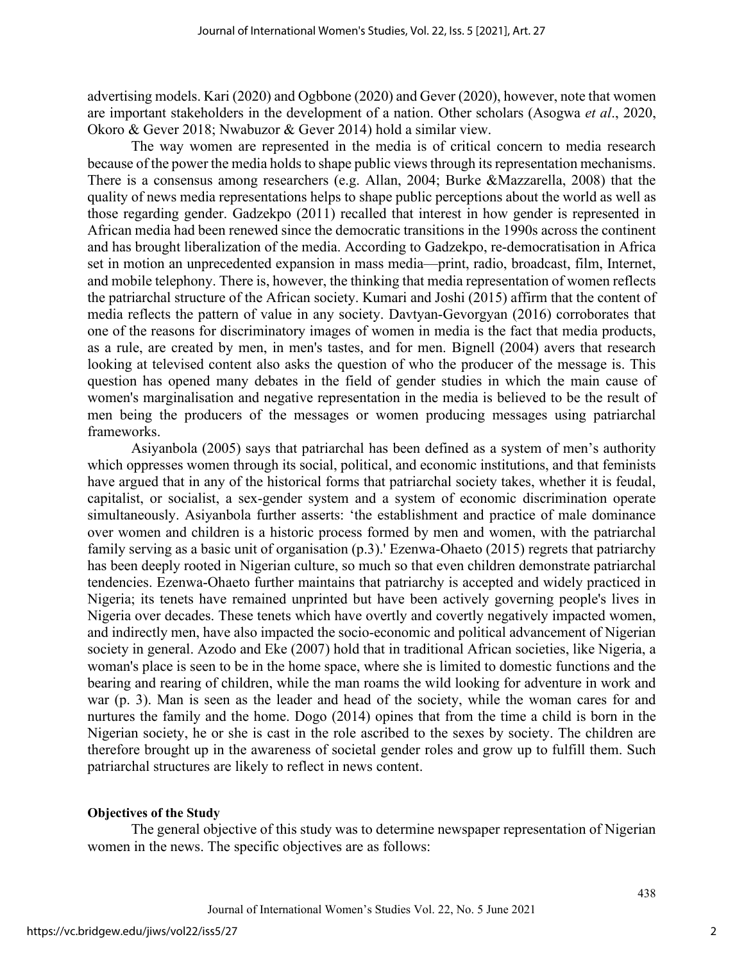advertising models. Kari (2020) and Ogbbone (2020) and Gever (2020), however, note that women are important stakeholders in the development of a nation. Other scholars (Asogwa *et al*., 2020, Okoro & Gever 2018; Nwabuzor & Gever 2014) hold a similar view.

The way women are represented in the media is of critical concern to media research because of the power the media holds to shape public views through its representation mechanisms. There is a consensus among researchers (e.g. Allan, 2004; Burke &Mazzarella, 2008) that the quality of news media representations helps to shape public perceptions about the world as well as those regarding gender. Gadzekpo (2011) recalled that interest in how gender is represented in African media had been renewed since the democratic transitions in the 1990s across the continent and has brought liberalization of the media. According to Gadzekpo, re-democratisation in Africa set in motion an unprecedented expansion in mass media—print, radio, broadcast, film, Internet, and mobile telephony. There is, however, the thinking that media representation of women reflects the patriarchal structure of the African society. Kumari and Joshi (2015) affirm that the content of media reflects the pattern of value in any society. Davtyan-Gevorgyan (2016) corroborates that one of the reasons for discriminatory images of women in media is the fact that media products, as a rule, are created by men, in men's tastes, and for men. Bignell (2004) avers that research looking at televised content also asks the question of who the producer of the message is. This question has opened many debates in the field of gender studies in which the main cause of women's marginalisation and negative representation in the media is believed to be the result of men being the producers of the messages or women producing messages using patriarchal frameworks.

Asiyanbola (2005) says that patriarchal has been defined as a system of men's authority which oppresses women through its social, political, and economic institutions, and that feminists have argued that in any of the historical forms that patriarchal society takes, whether it is feudal, capitalist, or socialist, a sex-gender system and a system of economic discrimination operate simultaneously. Asiyanbola further asserts: 'the establishment and practice of male dominance over women and children is a historic process formed by men and women, with the patriarchal family serving as a basic unit of organisation (p.3).' Ezenwa-Ohaeto (2015) regrets that patriarchy has been deeply rooted in Nigerian culture, so much so that even children demonstrate patriarchal tendencies. Ezenwa-Ohaeto further maintains that patriarchy is accepted and widely practiced in Nigeria; its tenets have remained unprinted but have been actively governing people's lives in Nigeria over decades. These tenets which have overtly and covertly negatively impacted women, and indirectly men, have also impacted the socio-economic and political advancement of Nigerian society in general. Azodo and Eke (2007) hold that in traditional African societies, like Nigeria, a woman's place is seen to be in the home space, where she is limited to domestic functions and the bearing and rearing of children, while the man roams the wild looking for adventure in work and war (p. 3). Man is seen as the leader and head of the society, while the woman cares for and nurtures the family and the home. Dogo (2014) opines that from the time a child is born in the Nigerian society, he or she is cast in the role ascribed to the sexes by society. The children are therefore brought up in the awareness of societal gender roles and grow up to fulfill them. Such patriarchal structures are likely to reflect in news content.

#### **Objectives of the Study**

The general objective of this study was to determine newspaper representation of Nigerian women in the news. The specific objectives are as follows: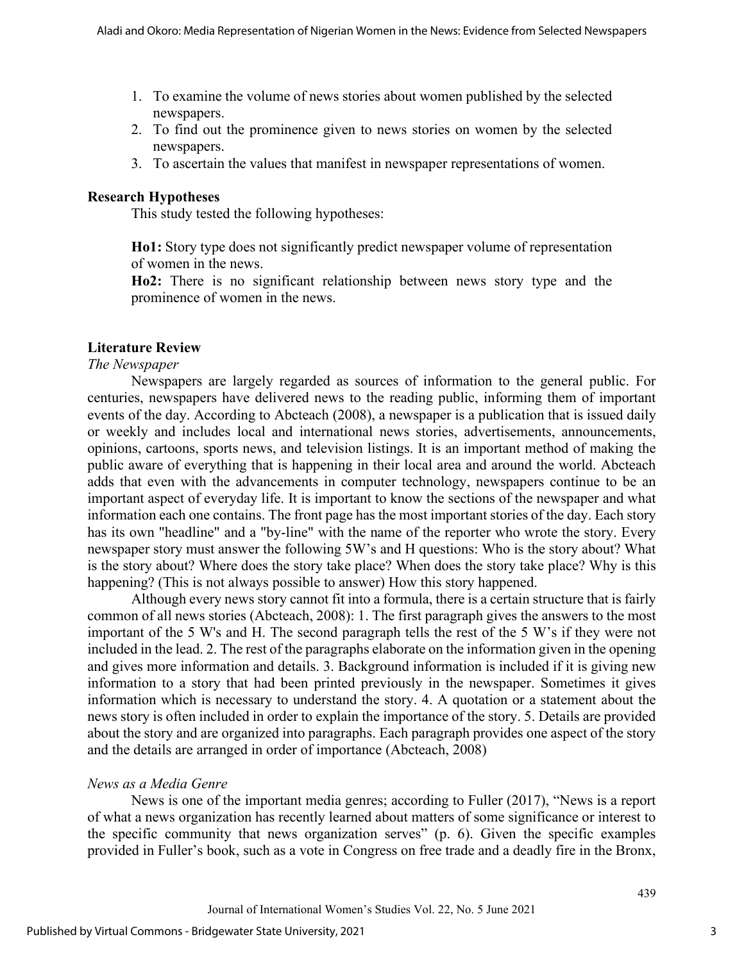- 1. To examine the volume of news stories about women published by the selected newspapers.
- 2. To find out the prominence given to news stories on women by the selected newspapers.
- 3. To ascertain the values that manifest in newspaper representations of women.

#### **Research Hypotheses**

This study tested the following hypotheses:

**Ho1:** Story type does not significantly predict newspaper volume of representation of women in the news.

**Ho2:** There is no significant relationship between news story type and the prominence of women in the news.

#### **Literature Review**

#### *The Newspaper*

Newspapers are largely regarded as sources of information to the general public. For centuries, newspapers have delivered news to the reading public, informing them of important events of the day. According to Abcteach (2008), a newspaper is a publication that is issued daily or weekly and includes local and international news stories, advertisements, announcements, opinions, cartoons, sports news, and television listings. It is an important method of making the public aware of everything that is happening in their local area and around the world. Abcteach adds that even with the advancements in computer technology, newspapers continue to be an important aspect of everyday life. It is important to know the sections of the newspaper and what information each one contains. The front page has the most important stories of the day. Each story has its own "headline" and a "by-line" with the name of the reporter who wrote the story. Every newspaper story must answer the following 5W's and H questions: Who is the story about? What is the story about? Where does the story take place? When does the story take place? Why is this happening? (This is not always possible to answer) How this story happened.

Although every news story cannot fit into a formula, there is a certain structure that is fairly common of all news stories (Abcteach, 2008): 1. The first paragraph gives the answers to the most important of the 5 W's and H. The second paragraph tells the rest of the 5 W's if they were not included in the lead. 2. The rest of the paragraphs elaborate on the information given in the opening and gives more information and details. 3. Background information is included if it is giving new information to a story that had been printed previously in the newspaper. Sometimes it gives information which is necessary to understand the story. 4. A quotation or a statement about the news story is often included in order to explain the importance of the story. 5. Details are provided about the story and are organized into paragraphs. Each paragraph provides one aspect of the story and the details are arranged in order of importance (Abcteach, 2008)

#### *News as a Media Genre*

News is one of the important media genres; according to Fuller (2017), "News is a report of what a news organization has recently learned about matters of some significance or interest to the specific community that news organization serves" (p. 6). Given the specific examples provided in Fuller's book, such as a vote in Congress on free trade and a deadly fire in the Bronx,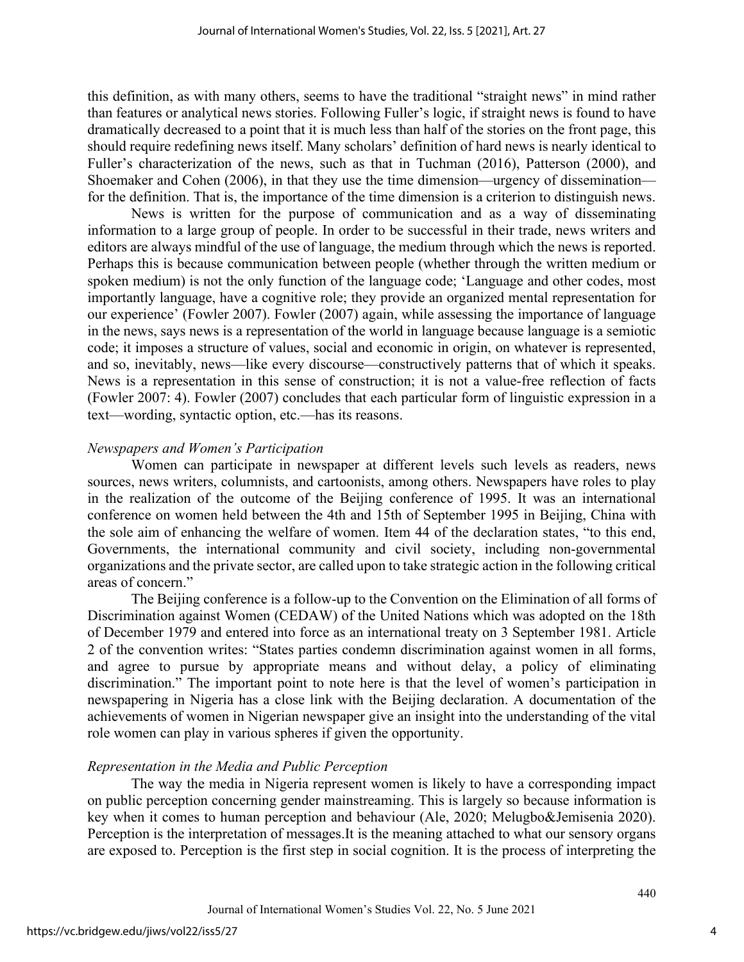this definition, as with many others, seems to have the traditional "straight news" in mind rather than features or analytical news stories. Following Fuller's logic, if straight news is found to have dramatically decreased to a point that it is much less than half of the stories on the front page, this should require redefining news itself. Many scholars' definition of hard news is nearly identical to Fuller's characterization of the news, such as that in Tuchman (2016), Patterson (2000), and Shoemaker and Cohen (2006), in that they use the time dimension—urgency of dissemination for the definition. That is, the importance of the time dimension is a criterion to distinguish news.

News is written for the purpose of communication and as a way of disseminating information to a large group of people. In order to be successful in their trade, news writers and editors are always mindful of the use of language, the medium through which the news is reported. Perhaps this is because communication between people (whether through the written medium or spoken medium) is not the only function of the language code; 'Language and other codes, most importantly language, have a cognitive role; they provide an organized mental representation for our experience' (Fowler 2007). Fowler (2007) again, while assessing the importance of language in the news, says news is a representation of the world in language because language is a semiotic code; it imposes a structure of values, social and economic in origin, on whatever is represented, and so, inevitably, news—like every discourse—constructively patterns that of which it speaks. News is a representation in this sense of construction; it is not a value-free reflection of facts (Fowler 2007: 4). Fowler (2007) concludes that each particular form of linguistic expression in a text—wording, syntactic option, etc.—has its reasons.

## *Newspapers and Women's Participation*

Women can participate in newspaper at different levels such levels as readers, news sources, news writers, columnists, and cartoonists, among others. Newspapers have roles to play in the realization of the outcome of the Beijing conference of 1995. It was an international conference on women held between the 4th and 15th of September 1995 in Beijing, China with the sole aim of enhancing the welfare of women. Item 44 of the declaration states, "to this end, Governments, the international community and civil society, including non-governmental organizations and the private sector, are called upon to take strategic action in the following critical areas of concern."

The Beijing conference is a follow-up to the Convention on the Elimination of all forms of Discrimination against Women (CEDAW) of the United Nations which was adopted on the 18th of December 1979 and entered into force as an international treaty on 3 September 1981. Article 2 of the convention writes: "States parties condemn discrimination against women in all forms, and agree to pursue by appropriate means and without delay, a policy of eliminating discrimination." The important point to note here is that the level of women's participation in newspapering in Nigeria has a close link with the Beijing declaration. A documentation of the achievements of women in Nigerian newspaper give an insight into the understanding of the vital role women can play in various spheres if given the opportunity.

#### *Representation in the Media and Public Perception*

The way the media in Nigeria represent women is likely to have a corresponding impact on public perception concerning gender mainstreaming. This is largely so because information is key when it comes to human perception and behaviour (Ale, 2020; Melugbo&Jemisenia 2020). Perception is the interpretation of messages.It is the meaning attached to what our sensory organs are exposed to. Perception is the first step in social cognition. It is the process of interpreting the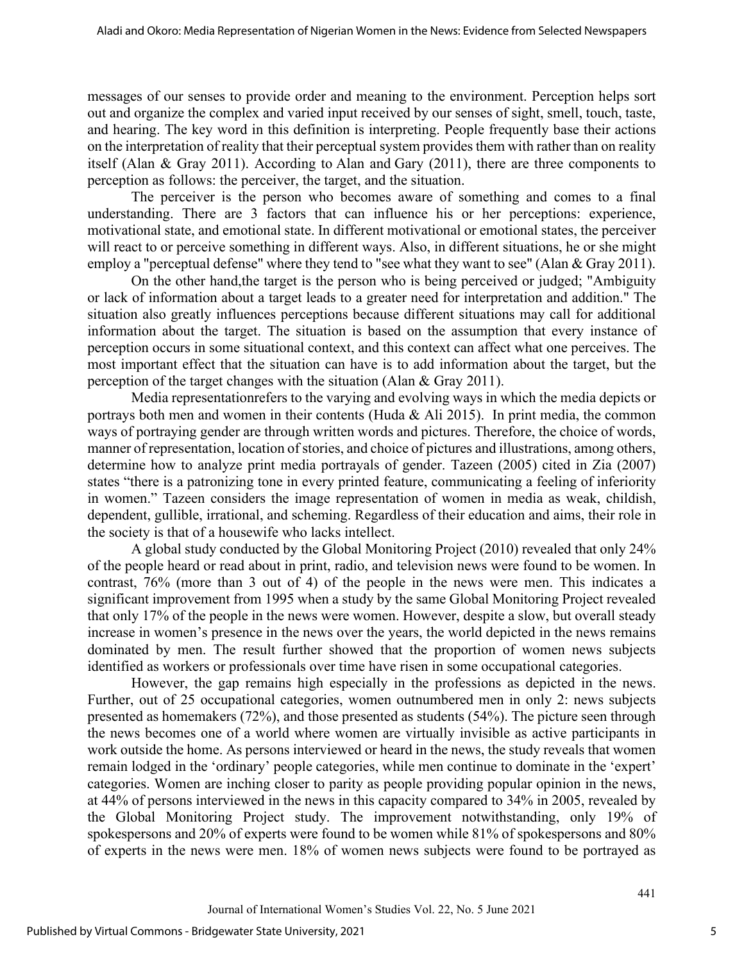messages of our senses to provide order and meaning to the environment. Perception helps sort out and organize the complex and varied input received by our senses of sight, smell, touch, taste, and hearing. The key word in this definition is interpreting. People frequently base their actions on the interpretation of reality that their perceptual system provides them with rather than on reality itself (Alan & Gray 2011). According to Alan and Gary (2011), there are three components to perception as follows: the perceiver, the target, and the situation.

The perceiver is the person who becomes aware of something and comes to a final understanding. There are 3 factors that can influence his or her perceptions: experience, motivational state, and emotional state. In different motivational or emotional states, the perceiver will react to or perceive something in different ways. Also, in different situations, he or she might employ a "perceptual defense" where they tend to "see what they want to see" (Alan & Gray 2011).

On the other hand,the target is the person who is being perceived or judged; "Ambiguity or lack of information about a target leads to a greater need for interpretation and addition." The situation also greatly influences perceptions because different situations may call for additional information about the target. The situation is based on the assumption that every instance of perception occurs in some situational context, and this context can affect what one perceives. The most important effect that the situation can have is to add information about the target, but the perception of the target changes with the situation (Alan & Gray 2011).

Media representationrefers to the varying and evolving ways in which the media depicts or portrays both men and women in their contents (Huda & Ali 2015). In print media, the common ways of portraying gender are through written words and pictures. Therefore, the choice of words, manner of representation, location of stories, and choice of pictures and illustrations, among others, determine how to analyze print media portrayals of gender. Tazeen (2005) cited in Zia (2007) states "there is a patronizing tone in every printed feature, communicating a feeling of inferiority in women." Tazeen considers the image representation of women in media as weak, childish, dependent, gullible, irrational, and scheming. Regardless of their education and aims, their role in the society is that of a housewife who lacks intellect.

A global study conducted by the Global Monitoring Project (2010) revealed that only 24% of the people heard or read about in print, radio, and television news were found to be women. In contrast, 76% (more than 3 out of 4) of the people in the news were men. This indicates a significant improvement from 1995 when a study by the same Global Monitoring Project revealed that only 17% of the people in the news were women. However, despite a slow, but overall steady increase in women's presence in the news over the years, the world depicted in the news remains dominated by men. The result further showed that the proportion of women news subjects identified as workers or professionals over time have risen in some occupational categories.

However, the gap remains high especially in the professions as depicted in the news. Further, out of 25 occupational categories, women outnumbered men in only 2: news subjects presented as homemakers (72%), and those presented as students (54%). The picture seen through the news becomes one of a world where women are virtually invisible as active participants in work outside the home. As persons interviewed or heard in the news, the study reveals that women remain lodged in the 'ordinary' people categories, while men continue to dominate in the 'expert' categories. Women are inching closer to parity as people providing popular opinion in the news, at 44% of persons interviewed in the news in this capacity compared to 34% in 2005, revealed by the Global Monitoring Project study. The improvement notwithstanding, only 19% of spokespersons and 20% of experts were found to be women while 81% of spokespersons and 80% of experts in the news were men. 18% of women news subjects were found to be portrayed as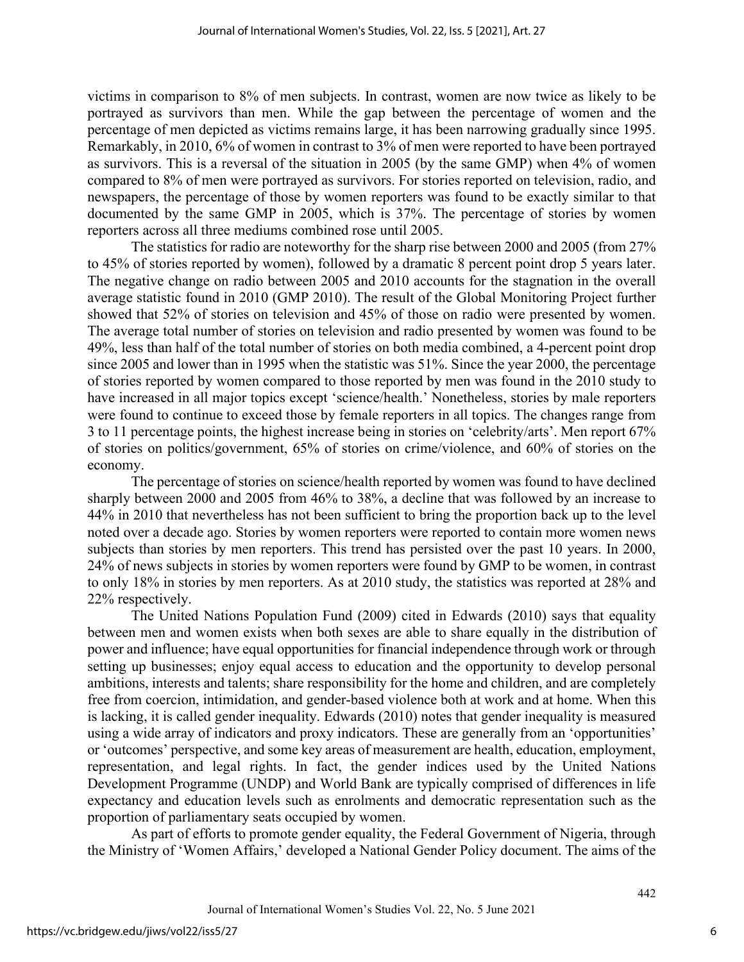victims in comparison to 8% of men subjects. In contrast, women are now twice as likely to be portrayed as survivors than men. While the gap between the percentage of women and the percentage of men depicted as victims remains large, it has been narrowing gradually since 1995. Remarkably, in 2010, 6% of women in contrast to 3% of men were reported to have been portrayed as survivors. This is a reversal of the situation in 2005 (by the same GMP) when 4% of women compared to 8% of men were portrayed as survivors. For stories reported on television, radio, and newspapers, the percentage of those by women reporters was found to be exactly similar to that documented by the same GMP in 2005, which is 37%. The percentage of stories by women reporters across all three mediums combined rose until 2005.

The statistics for radio are noteworthy for the sharp rise between 2000 and 2005 (from 27% to 45% of stories reported by women), followed by a dramatic 8 percent point drop 5 years later. The negative change on radio between 2005 and 2010 accounts for the stagnation in the overall average statistic found in 2010 (GMP 2010). The result of the Global Monitoring Project further showed that 52% of stories on television and 45% of those on radio were presented by women. The average total number of stories on television and radio presented by women was found to be 49%, less than half of the total number of stories on both media combined, a 4-percent point drop since 2005 and lower than in 1995 when the statistic was 51%. Since the year 2000, the percentage of stories reported by women compared to those reported by men was found in the 2010 study to have increased in all major topics except 'science/health.' Nonetheless, stories by male reporters were found to continue to exceed those by female reporters in all topics. The changes range from 3 to 11 percentage points, the highest increase being in stories on 'celebrity/arts'. Men report 67% of stories on politics/government, 65% of stories on crime/violence, and 60% of stories on the economy.

The percentage of stories on science/health reported by women was found to have declined sharply between 2000 and 2005 from 46% to 38%, a decline that was followed by an increase to 44% in 2010 that nevertheless has not been sufficient to bring the proportion back up to the level noted over a decade ago. Stories by women reporters were reported to contain more women news subjects than stories by men reporters. This trend has persisted over the past 10 years. In 2000, 24% of news subjects in stories by women reporters were found by GMP to be women, in contrast to only 18% in stories by men reporters. As at 2010 study, the statistics was reported at 28% and 22% respectively.

The United Nations Population Fund (2009) cited in Edwards (2010) says that equality between men and women exists when both sexes are able to share equally in the distribution of power and influence; have equal opportunities for financial independence through work or through setting up businesses; enjoy equal access to education and the opportunity to develop personal ambitions, interests and talents; share responsibility for the home and children, and are completely free from coercion, intimidation, and gender-based violence both at work and at home. When this is lacking, it is called gender inequality. Edwards (2010) notes that gender inequality is measured using a wide array of indicators and proxy indicators. These are generally from an 'opportunities' or 'outcomes' perspective, and some key areas of measurement are health, education, employment, representation, and legal rights. In fact, the gender indices used by the United Nations Development Programme (UNDP) and World Bank are typically comprised of differences in life expectancy and education levels such as enrolments and democratic representation such as the proportion of parliamentary seats occupied by women.

As part of efforts to promote gender equality, the Federal Government of Nigeria, through the Ministry of 'Women Affairs,' developed a National Gender Policy document. The aims of the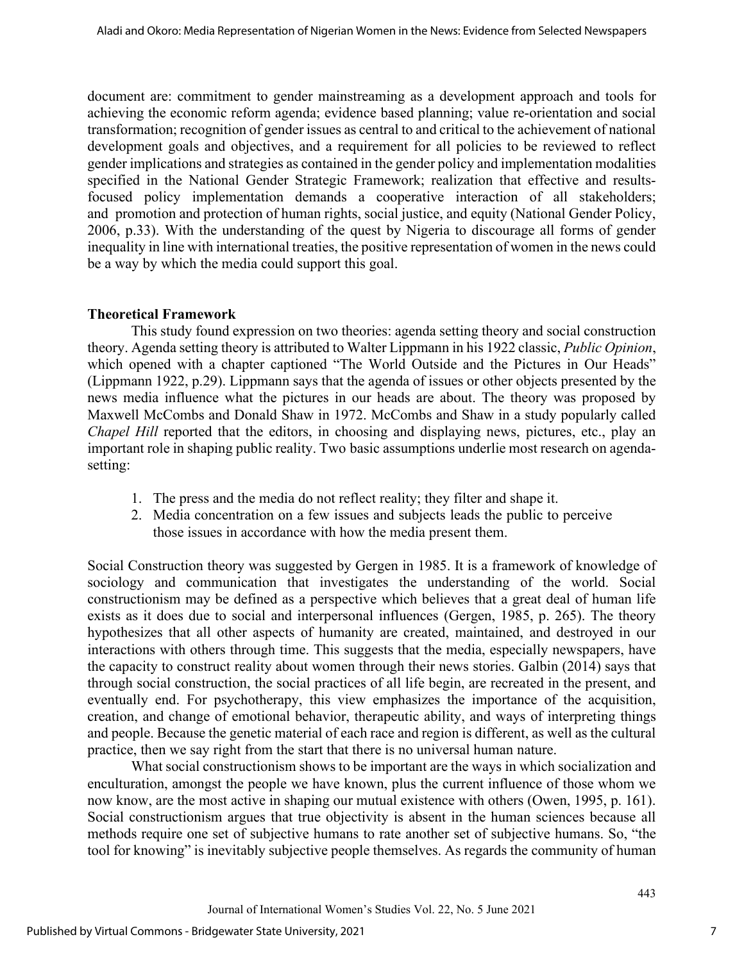document are: commitment to gender mainstreaming as a development approach and tools for achieving the economic reform agenda; evidence based planning; value re-orientation and social transformation; recognition of gender issues as central to and critical to the achievement of national development goals and objectives, and a requirement for all policies to be reviewed to reflect gender implications and strategies as contained in the gender policy and implementation modalities specified in the National Gender Strategic Framework; realization that effective and resultsfocused policy implementation demands a cooperative interaction of all stakeholders; and promotion and protection of human rights, social justice, and equity (National Gender Policy, 2006, p.33). With the understanding of the quest by Nigeria to discourage all forms of gender inequality in line with international treaties, the positive representation of women in the news could be a way by which the media could support this goal.

## **Theoretical Framework**

This study found expression on two theories: agenda setting theory and social construction theory. Agenda setting theory is attributed to Walter Lippmann in his 1922 classic, *Public Opinion*, which opened with a chapter captioned "The World Outside and the Pictures in Our Heads" (Lippmann 1922, p.29). Lippmann says that the agenda of issues or other objects presented by the news media influence what the pictures in our heads are about. The theory was proposed by Maxwell McCombs and Donald Shaw in 1972. McCombs and Shaw in a study popularly called *Chapel Hill* reported that the editors, in choosing and displaying news, pictures, etc., play an important role in shaping public reality. Two basic assumptions underlie most research on agendasetting:

- 1. The press and the media do not reflect reality; they filter and shape it.
- 2. Media concentration on a few issues and subjects leads the public to perceive those issues in accordance with how the media present them.

Social Construction theory was suggested by Gergen in 1985. It is a framework of knowledge of sociology and communication that investigates the understanding of the world. Social constructionism may be defined as a perspective which believes that a great deal of human life exists as it does due to social and interpersonal influences (Gergen, 1985, p. 265). The theory hypothesizes that all other aspects of humanity are created, maintained, and destroyed in our interactions with others through time. This suggests that the media, especially newspapers, have the capacity to construct reality about women through their news stories. Galbin (2014) says that through social construction, the social practices of all life begin, are recreated in the present, and eventually end. For psychotherapy, this view emphasizes the importance of the acquisition, creation, and change of emotional behavior, therapeutic ability, and ways of interpreting things and people. Because the genetic material of each race and region is different, as well as the cultural practice, then we say right from the start that there is no universal human nature.

What social constructionism shows to be important are the ways in which socialization and enculturation, amongst the people we have known, plus the current influence of those whom we now know, are the most active in shaping our mutual existence with others (Owen, 1995, p. 161). Social constructionism argues that true objectivity is absent in the human sciences because all methods require one set of subjective humans to rate another set of subjective humans. So, "the tool for knowing" is inevitably subjective people themselves. As regards the community of human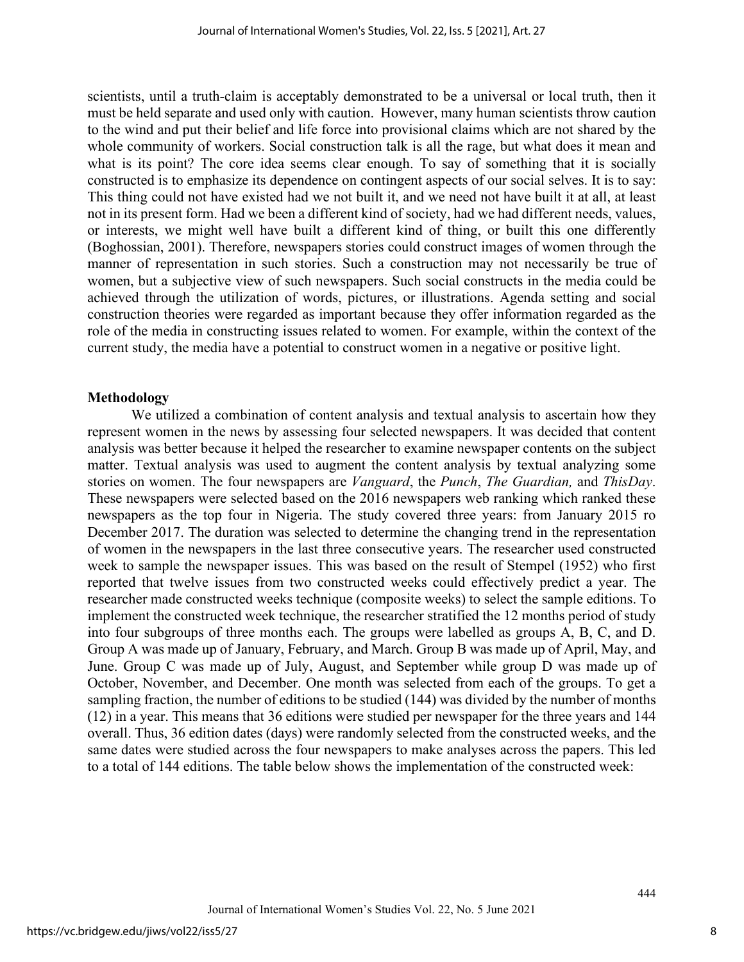scientists, until a truth-claim is acceptably demonstrated to be a universal or local truth, then it must be held separate and used only with caution. However, many human scientists throw caution to the wind and put their belief and life force into provisional claims which are not shared by the whole community of workers. Social construction talk is all the rage, but what does it mean and what is its point? The core idea seems clear enough. To say of something that it is socially constructed is to emphasize its dependence on contingent aspects of our social selves. It is to say: This thing could not have existed had we not built it, and we need not have built it at all, at least not in its present form. Had we been a different kind of society, had we had different needs, values, or interests, we might well have built a different kind of thing, or built this one differently (Boghossian, 2001). Therefore, newspapers stories could construct images of women through the manner of representation in such stories. Such a construction may not necessarily be true of women, but a subjective view of such newspapers. Such social constructs in the media could be achieved through the utilization of words, pictures, or illustrations. Agenda setting and social construction theories were regarded as important because they offer information regarded as the role of the media in constructing issues related to women. For example, within the context of the current study, the media have a potential to construct women in a negative or positive light.

#### **Methodology**

We utilized a combination of content analysis and textual analysis to ascertain how they represent women in the news by assessing four selected newspapers. It was decided that content analysis was better because it helped the researcher to examine newspaper contents on the subject matter. Textual analysis was used to augment the content analysis by textual analyzing some stories on women. The four newspapers are *Vanguard*, the *Punch*, *The Guardian,* and *ThisDay*. These newspapers were selected based on the 2016 newspapers web ranking which ranked these newspapers as the top four in Nigeria. The study covered three years: from January 2015 ro December 2017. The duration was selected to determine the changing trend in the representation of women in the newspapers in the last three consecutive years. The researcher used constructed week to sample the newspaper issues. This was based on the result of Stempel (1952) who first reported that twelve issues from two constructed weeks could effectively predict a year. The researcher made constructed weeks technique (composite weeks) to select the sample editions. To implement the constructed week technique, the researcher stratified the 12 months period of study into four subgroups of three months each. The groups were labelled as groups A, B, C, and D. Group A was made up of January, February, and March. Group B was made up of April, May, and June. Group C was made up of July, August, and September while group D was made up of October, November, and December. One month was selected from each of the groups. To get a sampling fraction, the number of editions to be studied (144) was divided by the number of months (12) in a year. This means that 36 editions were studied per newspaper for the three years and 144 overall. Thus, 36 edition dates (days) were randomly selected from the constructed weeks, and the same dates were studied across the four newspapers to make analyses across the papers. This led to a total of 144 editions. The table below shows the implementation of the constructed week: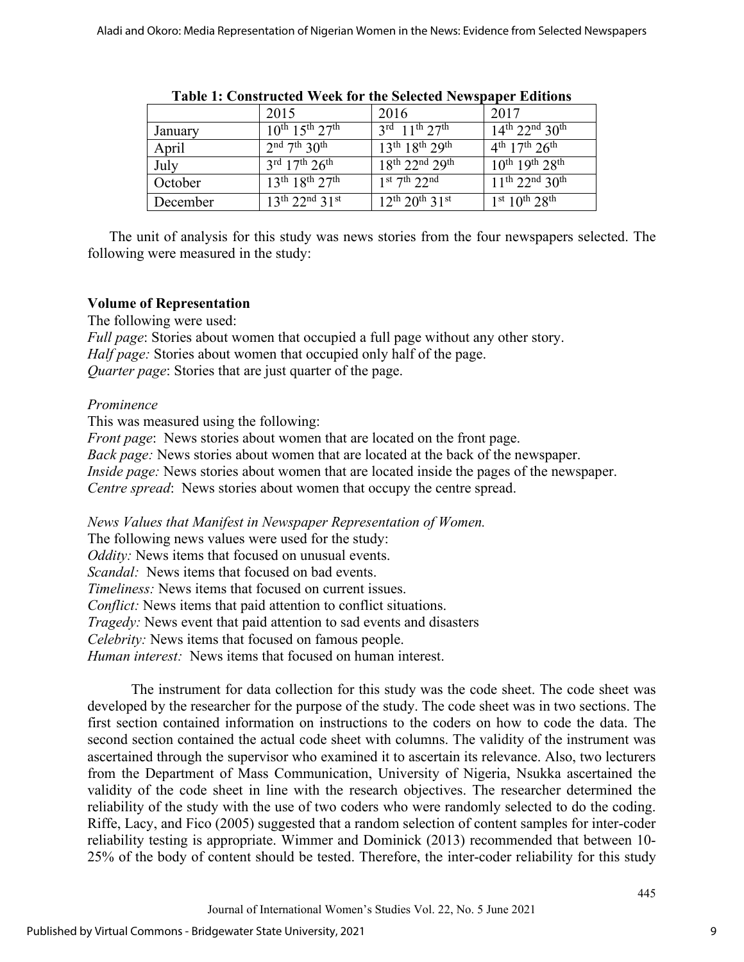|          | 2015                                              | 2016                                              | 2017                                        |
|----------|---------------------------------------------------|---------------------------------------------------|---------------------------------------------|
| January  | $10^{th}$ 15 <sup>th</sup> 27 <sup>th</sup>       | $3^{\text{rd}}$ 11 <sup>th</sup> 27 <sup>th</sup> | $14^{th}$ 22 <sup>nd</sup> 30 <sup>th</sup> |
| April    | $2nd$ 7 <sup>th</sup> 30 <sup>th</sup>            | $13^{th}$ $18^{th}$ $29^{th}$                     | $4^{th}$ 17 <sup>th</sup> 26 <sup>th</sup>  |
| July     | $3^{\text{rd}}$ 17 <sup>th</sup> 26 <sup>th</sup> | $18^{th}$ 22 <sup>nd</sup> 29 <sup>th</sup>       | $10^{th}$ 19 <sup>th</sup> 28 <sup>th</sup> |
| October  | $13^{th}$ $18^{th}$ $27^{th}$                     | $1st$ 7 <sup>th</sup> 22 <sup>nd</sup>            | $11^{th}$ 22 <sup>nd</sup> 30 <sup>th</sup> |
| December | $13^{th}$ 22 <sup>nd</sup> 31 <sup>st</sup>       | $12^{th} 20^{th} 31^{st}$                         | $1st 10th 28th$                             |
|          |                                                   |                                                   |                                             |

#### **Table 1: Constructed Week for the Selected Newspaper Editions**

The unit of analysis for this study was news stories from the four newspapers selected. The following were measured in the study:

## **Volume of Representation**

The following were used:

*Full page*: Stories about women that occupied a full page without any other story. *Half page:* Stories about women that occupied only half of the page. *Quarter page*: Stories that are just quarter of the page.

## *Prominence*

This was measured using the following:

*Front page*: News stories about women that are located on the front page.

*Back page:* News stories about women that are located at the back of the newspaper.

*Inside page:* News stories about women that are located inside the pages of the newspaper.

*Centre spread*: News stories about women that occupy the centre spread.

*News Values that Manifest in Newspaper Representation of Women.* 

The following news values were used for the study:

*Oddity:* News items that focused on unusual events.

*Scandal:* News items that focused on bad events.

*Timeliness:* News items that focused on current issues.

*Conflict:* News items that paid attention to conflict situations.

*Tragedy:* News event that paid attention to sad events and disasters

*Celebrity:* News items that focused on famous people.

*Human interest:* News items that focused on human interest.

The instrument for data collection for this study was the code sheet. The code sheet was developed by the researcher for the purpose of the study. The code sheet was in two sections. The first section contained information on instructions to the coders on how to code the data. The second section contained the actual code sheet with columns. The validity of the instrument was ascertained through the supervisor who examined it to ascertain its relevance. Also, two lecturers from the Department of Mass Communication, University of Nigeria, Nsukka ascertained the validity of the code sheet in line with the research objectives. The researcher determined the reliability of the study with the use of two coders who were randomly selected to do the coding. Riffe, Lacy, and Fico (2005) suggested that a random selection of content samples for inter-coder reliability testing is appropriate. Wimmer and Dominick (2013) recommended that between 10- 25% of the body of content should be tested. Therefore, the inter-coder reliability for this study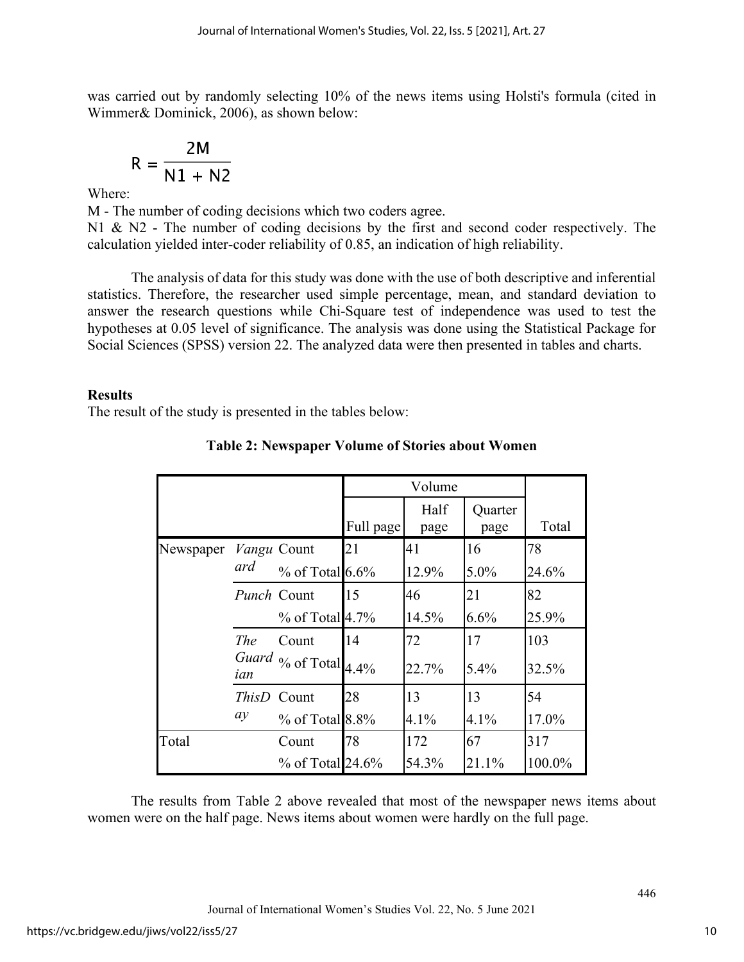was carried out by randomly selecting 10% of the news items using Holsti's formula (cited in Wimmer& Dominick, 2006), as shown below:

$$
R = \frac{2M}{N1 + N2}
$$

Where:

M - The number of coding decisions which two coders agree. N1 & N2 - The number of coding decisions by the first and second coder respectively. The calculation yielded inter-coder reliability of 0.85, an indication of high reliability.

The analysis of data for this study was done with the use of both descriptive and inferential statistics. Therefore, the researcher used simple percentage, mean, and standard deviation to answer the research questions while Chi-Square test of independence was used to test the hypotheses at 0.05 level of significance. The analysis was done using the Statistical Package for Social Sciences (SPSS) version 22. The analyzed data were then presented in tables and charts.

## **Results**

The result of the study is presented in the tables below:

|           |              |                                                      |           | Volume       |                 |        |
|-----------|--------------|------------------------------------------------------|-----------|--------------|-----------------|--------|
|           |              |                                                      | Full page | Half<br>page | Quarter<br>page | Total  |
| Newspaper |              | Vangu Count                                          | 21        | 41           | 16              | 78     |
|           | ard          | $%$ of Total 6.6%                                    |           | 12.9%        | 5.0%            | 24.6%  |
|           | Punch Count  |                                                      | 15        | 46           | 21              | 82     |
|           |              | % of Total 4.7%                                      |           | 14.5%        | 6.6%            | 25.9%  |
|           | <b>The</b>   | Count                                                | 14        | 72           | 17              | 103    |
|           | ian          | Guard $\frac{6}{100}$ of Total $\frac{4.4\%}{1.4\%}$ |           | 22.7%        | 5.4%            | 32.5%  |
|           | <b>ThisD</b> | Count                                                | 28        | 13           | 13              | 54     |
|           | ay           | $%$ of Total 8.8%                                    |           | 4.1%         | 4.1%            | 17.0%  |
| Total     |              | Count                                                | 78        | 172          | 67              | 317    |
|           |              | $%$ of Total 24.6%                                   |           | 54.3%        | 21.1%           | 100.0% |

## **Table 2: Newspaper Volume of Stories about Women**

The results from Table 2 above revealed that most of the newspaper news items about women were on the half page. News items about women were hardly on the full page.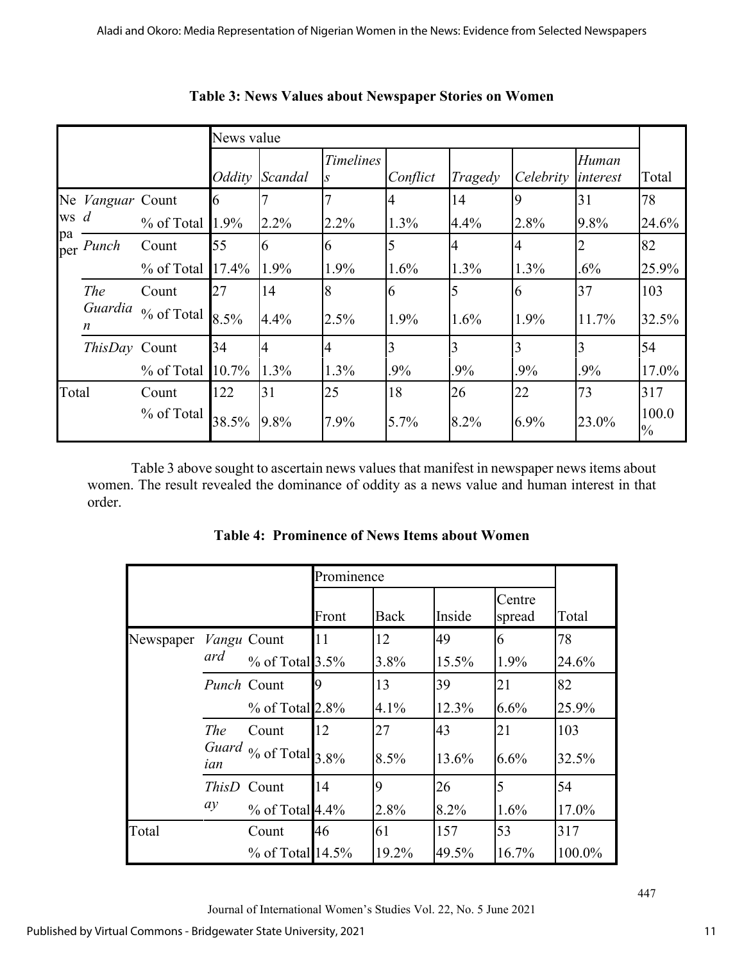|           |                |                                    |          | News value |                  |          |         |           |                   |                        |
|-----------|----------------|------------------------------------|----------|------------|------------------|----------|---------|-----------|-------------------|------------------------|
|           |                |                                    | Oddity   | Scandal    | <b>Timelines</b> | Conflict | Tragedy | Celebrity | Human<br>interest | Total                  |
| Ne        | Vanguar Count  |                                    | 16       |            |                  |          | 14      | <b>Q</b>  | 31                | 78                     |
| <b>WS</b> | $\overline{d}$ | % of Total                         | 1.9%     | $2.2\%$    | 2.2%             | 1.3%     | 4.4%    | 2.8%      | 9.8%              | 24.6%                  |
| pa<br>per | Punch          | Count                              | 55       | 6          | 6                |          | 4       |           |                   | 82                     |
|           |                | % of Total                         | 17.4%    | 1.9%       | 1.9%             | 1.6%     | $1.3\%$ | 1.3%      | $.6\%$            | 25.9%                  |
|           | The            | Count                              | 27       | 14         | 8                | 6        | 5       | 16        | 37                | 103                    |
|           | Guardia<br>n   | $\%$ of Total $\left 8.5\%right\>$ |          | 4.4%       | 2.5%             | 1.9%     | 1.6%    | 1.9%      | 11.7%             | 32.5%                  |
|           | ThisDay Count  |                                    | 34       |            | 4                | 3        | 3       | 3         | 3                 | 54                     |
|           |                | % of Total                         | $10.7\%$ | 1.3%       | 1.3%             | .9%      | .9%     | .9%       | .9%               | 17.0%                  |
| Total     |                | Count                              | 122      | 31         | 25               | 18       | 26      | 22        | 73                | 317                    |
|           |                | % of Total                         | 38.5%    | 9.8%       | 7.9%             | 5.7%     | 8.2%    | 6.9%      | 23.0%             | 100.0<br>$\frac{0}{0}$ |

**Table 3: News Values about Newspaper Stories on Women**

Table 3 above sought to ascertain news values that manifest in newspaper news items about women. The result revealed the dominance of oddity as a news value and human interest in that order.

|           |              | Prominence                  |       |       |        |                  |        |
|-----------|--------------|-----------------------------|-------|-------|--------|------------------|--------|
|           |              |                             | Front | Back  | Inside | Centre<br>spread | Total  |
| Newspaper | Vangu Count  |                             | 11    | 12    | 49     | 6                | 78     |
|           | ard          | $%$ of Total 3.5%           |       | 3.8%  | 15.5%  | 1.9%             | 24.6%  |
|           | Punch Count  |                             | Q     | 13    | 39     | 21               | 82     |
|           |              | $%$ of Total 2.8%           |       | 4.1%  | 12.3%  | 6.6%             | 25.9%  |
|           | <b>The</b>   | Count                       | 12    | 27    | 43     | 21               | 103    |
|           | ian          | Guard $\%$ of Total $3.8\%$ |       | 8.5%  | 13.6%  | 6.6%             | 32.5%  |
|           | <i>ThisD</i> | Count                       | 14    | 9     | 26     | $\overline{5}$   | 54     |
|           | ay           | $%$ of Total 4.4%           |       | 2.8%  | 8.2%   | 1.6%             | 17.0%  |
| Total     |              | Count                       | 46    | 61    | 157    | 53               | 317    |
|           |              | $%$ of Total 14.5%          |       | 19.2% | 49.5%  | 16.7%            | 100.0% |

**Table 4: Prominence of News Items about Women**

Journal of International Women's Studies Vol. 22, No. 5 June 2021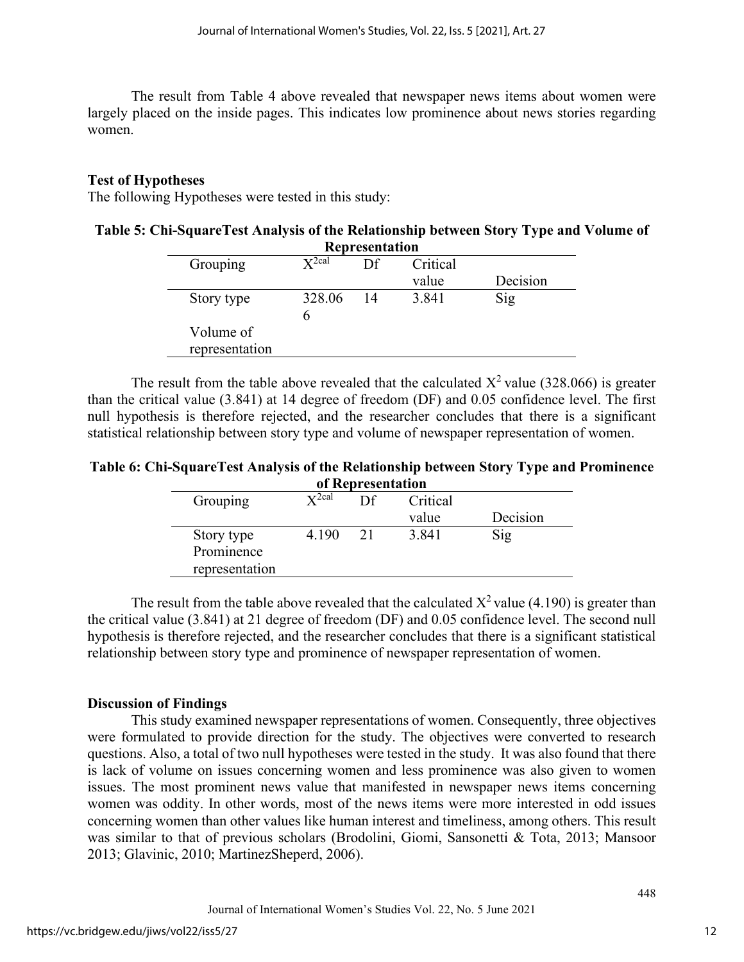The result from Table 4 above revealed that newspaper news items about women were largely placed on the inside pages. This indicates low prominence about news stories regarding women.

## **Test of Hypotheses**

The following Hypotheses were tested in this study:

| Table 5: Chi-SquareTest Analysis of the Relationship between Story Type and Volume of |  |
|---------------------------------------------------------------------------------------|--|
| <b>Representation</b>                                                                 |  |

|                             |                      | nubi usunanchi |          |          |
|-----------------------------|----------------------|----------------|----------|----------|
| Grouping                    | $\mathbf{V}^{2}$ cal | Df             | Critical |          |
|                             |                      |                | value    | Decision |
| Story type                  | 328.06               | 14             | 3.841    | Sig      |
| Volume of<br>representation |                      |                |          |          |

The result from the table above revealed that the calculated  $X^2$  value (328.066) is greater than the critical value (3.841) at 14 degree of freedom (DF) and 0.05 confidence level. The first null hypothesis is therefore rejected, and the researcher concludes that there is a significant statistical relationship between story type and volume of newspaper representation of women.

**Table 6: Chi-SquareTest Analysis of the Relationship between Story Type and Prominence of Representation**

|                                            |                                 | <u>of incidi coemunion</u> |          |          |
|--------------------------------------------|---------------------------------|----------------------------|----------|----------|
| Grouping                                   | $\mathbf{\nabla}^{\text{2cal}}$ | Df                         | Critical |          |
|                                            |                                 |                            | value    | Decision |
| Story type<br>Prominence<br>representation | 4.190                           | 21                         | 3.841    | Sig      |
|                                            |                                 |                            |          |          |

The result from the table above revealed that the calculated  $X^2$  value (4.190) is greater than the critical value (3.841) at 21 degree of freedom (DF) and 0.05 confidence level. The second null hypothesis is therefore rejected, and the researcher concludes that there is a significant statistical relationship between story type and prominence of newspaper representation of women.

## **Discussion of Findings**

This study examined newspaper representations of women. Consequently, three objectives were formulated to provide direction for the study. The objectives were converted to research questions. Also, a total of two null hypotheses were tested in the study. It was also found that there is lack of volume on issues concerning women and less prominence was also given to women issues. The most prominent news value that manifested in newspaper news items concerning women was oddity. In other words, most of the news items were more interested in odd issues concerning women than other values like human interest and timeliness, among others. This result was similar to that of previous scholars (Brodolini, Giomi, Sansonetti & Tota, 2013; Mansoor 2013; Glavinic, 2010; MartinezSheperd, 2006).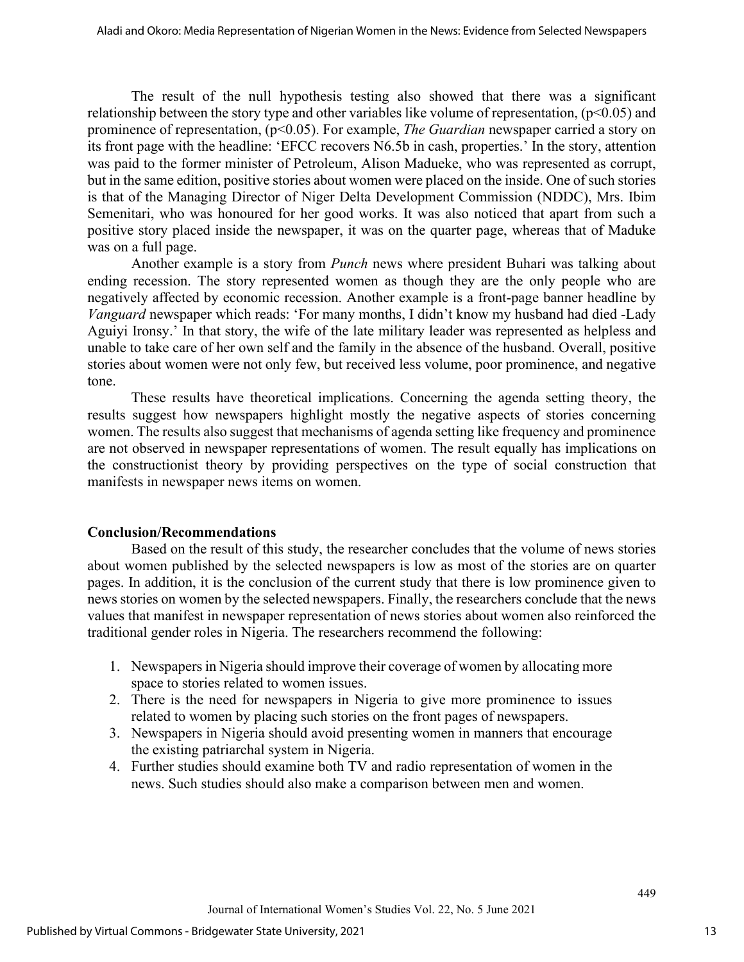The result of the null hypothesis testing also showed that there was a significant relationship between the story type and other variables like volume of representation,  $(p<0.05)$  and prominence of representation, (p<0.05). For example, *The Guardian* newspaper carried a story on its front page with the headline: 'EFCC recovers N6.5b in cash, properties.' In the story, attention was paid to the former minister of Petroleum, Alison Madueke, who was represented as corrupt, but in the same edition, positive stories about women were placed on the inside. One of such stories is that of the Managing Director of Niger Delta Development Commission (NDDC), Mrs. Ibim Semenitari, who was honoured for her good works. It was also noticed that apart from such a positive story placed inside the newspaper, it was on the quarter page, whereas that of Maduke was on a full page.

Another example is a story from *Punch* news where president Buhari was talking about ending recession. The story represented women as though they are the only people who are negatively affected by economic recession. Another example is a front-page banner headline by *Vanguard* newspaper which reads: 'For many months, I didn't know my husband had died -Lady Aguiyi Ironsy.' In that story, the wife of the late military leader was represented as helpless and unable to take care of her own self and the family in the absence of the husband. Overall, positive stories about women were not only few, but received less volume, poor prominence, and negative tone.

These results have theoretical implications. Concerning the agenda setting theory, the results suggest how newspapers highlight mostly the negative aspects of stories concerning women. The results also suggest that mechanisms of agenda setting like frequency and prominence are not observed in newspaper representations of women. The result equally has implications on the constructionist theory by providing perspectives on the type of social construction that manifests in newspaper news items on women.

## **Conclusion/Recommendations**

Based on the result of this study, the researcher concludes that the volume of news stories about women published by the selected newspapers is low as most of the stories are on quarter pages. In addition, it is the conclusion of the current study that there is low prominence given to news stories on women by the selected newspapers. Finally, the researchers conclude that the news values that manifest in newspaper representation of news stories about women also reinforced the traditional gender roles in Nigeria. The researchers recommend the following:

- 1. Newspapers in Nigeria should improve their coverage of women by allocating more space to stories related to women issues.
- 2. There is the need for newspapers in Nigeria to give more prominence to issues related to women by placing such stories on the front pages of newspapers.
- 3. Newspapers in Nigeria should avoid presenting women in manners that encourage the existing patriarchal system in Nigeria.
- 4. Further studies should examine both TV and radio representation of women in the news. Such studies should also make a comparison between men and women.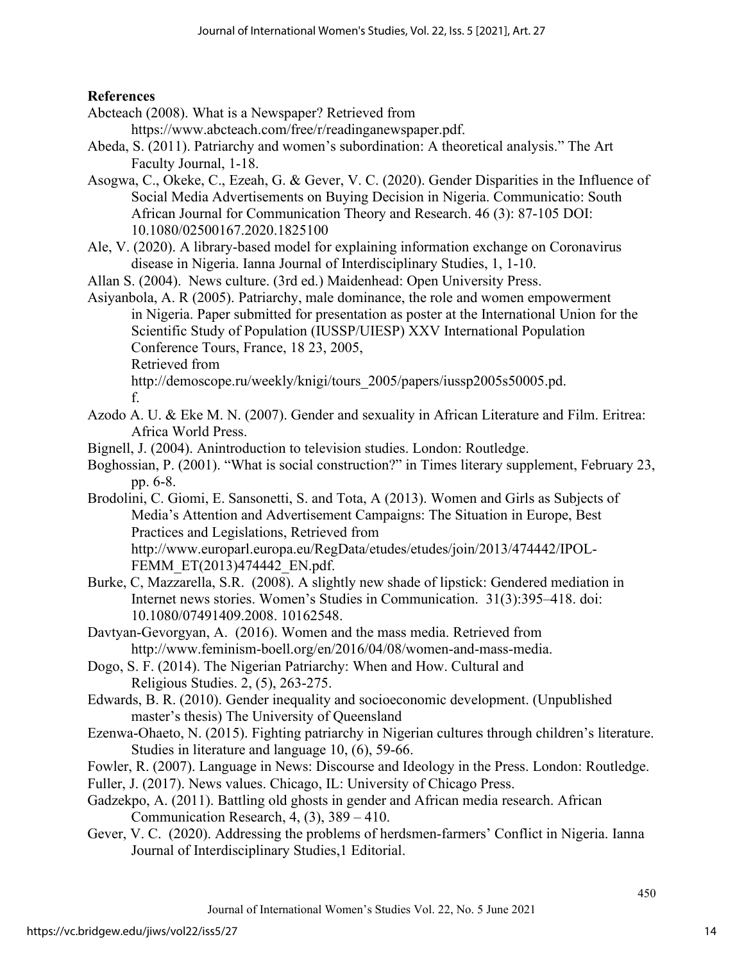## **References**

- Abcteach (2008). What is a Newspaper? Retrieved from
	- https://www.abcteach.com/free/r/readinganewspaper.pdf.
- Abeda, S. (2011). Patriarchy and women's subordination: A theoretical analysis." The Art Faculty Journal, 1-18.
- Asogwa, C., Okeke, C., Ezeah, G. & Gever, V. C. (2020). Gender Disparities in the Influence of Social Media Advertisements on Buying Decision in Nigeria. Communicatio: South African Journal for Communication Theory and Research. 46 (3): 87-105 DOI: 10.1080/02500167.2020.1825100
- Ale, V. (2020). A library-based model for explaining information exchange on Coronavirus disease in Nigeria. Ianna Journal of Interdisciplinary Studies, 1, 1-10.
- Allan S. (2004). News culture. (3rd ed.) Maidenhead: Open University Press.

Asiyanbola, A. R (2005). Patriarchy, male dominance, the role and women empowerment in Nigeria. Paper submitted for presentation as poster at the International Union for the Scientific Study of Population (IUSSP/UIESP) XXV International Population Conference Tours, France, 18 23, 2005, Retrieved from http://demoscope.ru/weekly/knigi/tours\_2005/papers/iussp2005s50005.pd. f.

- Azodo A. U. & Eke M. N. (2007). Gender and sexuality in African Literature and Film. Eritrea: Africa World Press.
- Bignell, J. (2004). Anintroduction to television studies. London: Routledge.
- Boghossian, P. (2001). "What is social construction?" in Times literary supplement, February 23, pp. 6-8.
- Brodolini, C. Giomi, E. Sansonetti, S. and Tota, A (2013). Women and Girls as Subjects of Media's Attention and Advertisement Campaigns: The Situation in Europe, Best Practices and Legislations, Retrieved from http://www.europarl.europa.eu/RegData/etudes/etudes/join/2013/474442/IPOL-FEMM\_ET(2013)474442\_EN.pdf.
- Burke, C, Mazzarella, S.R. (2008). A slightly new shade of lipstick: Gendered mediation in Internet news stories. Women's Studies in Communication. 31(3):395–418. doi: 10.1080/07491409.2008. 10162548.
- Davtyan-Gevorgyan, A. (2016). Women and the mass media. Retrieved from http://www.feminism-boell.org/en/2016/04/08/women-and-mass-media.
- Dogo, S. F. (2014). The Nigerian Patriarchy: When and How. Cultural and Religious Studies. 2, (5), 263-275.
- Edwards, B. R. (2010). Gender inequality and socioeconomic development. (Unpublished master's thesis) The University of Queensland
- Ezenwa-Ohaeto, N. (2015). Fighting patriarchy in Nigerian cultures through children's literature. Studies in literature and language 10, (6), 59-66.
- Fowler, R. (2007). Language in News: Discourse and Ideology in the Press. London: Routledge.
- Fuller, J. (2017). News values. Chicago, IL: University of Chicago Press.
- Gadzekpo, A. (2011). Battling old ghosts in gender and African media research. African Communication Research, 4, (3), 389 – 410.
- Gever, V. C. (2020). Addressing the problems of herdsmen-farmers' Conflict in Nigeria. Ianna Journal of Interdisciplinary Studies,1 Editorial.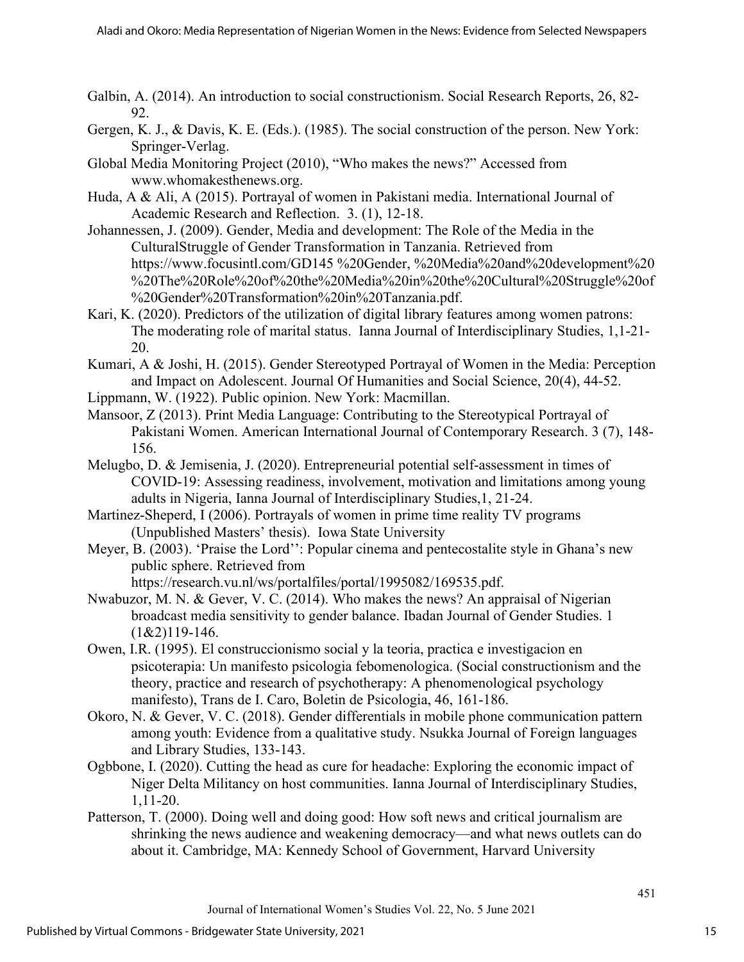- Galbin, A. (2014). An introduction to social constructionism. Social Research Reports, 26, 82- 92.
- Gergen, K. J., & Davis, K. E. (Eds.). (1985). The social construction of the person. New York: Springer-Verlag.
- Global Media Monitoring Project (2010), "Who makes the news?" Accessed from www.whomakesthenews.org.
- Huda, A & Ali, A (2015). Portrayal of women in Pakistani media. International Journal of Academic Research and Reflection. 3. (1), 12-18.
- Johannessen, J. (2009). Gender, Media and development: The Role of the Media in the CulturalStruggle of Gender Transformation in Tanzania. Retrieved from https://www.focusintl.com/GD145 %20Gender, %20Media%20and%20development%20 %20The%20Role%20of%20the%20Media%20in%20the%20Cultural%20Struggle%20of %20Gender%20Transformation%20in%20Tanzania.pdf.
- Kari, K. (2020). Predictors of the utilization of digital library features among women patrons: The moderating role of marital status. Ianna Journal of Interdisciplinary Studies, 1,1-21- 20.
- Kumari, A & Joshi, H. (2015). Gender Stereotyped Portrayal of Women in the Media: Perception and Impact on Adolescent. Journal Of Humanities and Social Science, 20(4), 44-52.
- Lippmann, W. (1922). Public opinion. New York: Macmillan.
- Mansoor, Z (2013). Print Media Language: Contributing to the Stereotypical Portrayal of Pakistani Women. American International Journal of Contemporary Research. 3 (7), 148- 156.
- Melugbo, D. & Jemisenia, J. (2020). Entrepreneurial potential self-assessment in times of COVID-19: Assessing readiness, involvement, motivation and limitations among young adults in Nigeria, Ianna Journal of Interdisciplinary Studies,1, 21-24.
- Martinez-Sheperd, I (2006). Portrayals of women in prime time reality TV programs (Unpublished Masters' thesis). Iowa State University
- Meyer, B. (2003). 'Praise the Lord'': Popular cinema and pentecostalite style in Ghana's new public sphere. Retrieved from

https://research.vu.nl/ws/portalfiles/portal/1995082/169535.pdf.

- Nwabuzor, M. N. & Gever, V. C. (2014). Who makes the news? An appraisal of Nigerian broadcast media sensitivity to gender balance. Ibadan Journal of Gender Studies. 1  $(1&2)$ 119-146.
- Owen, I.R. (1995). El construccionismo social y la teoria, practica e investigacion en psicoterapia: Un manifesto psicologia febomenologica. (Social constructionism and the theory, practice and research of psychotherapy: A phenomenological psychology manifesto), Trans de I. Caro, Boletin de Psicologia, 46, 161-186.
- Okoro, N. & Gever, V. C. (2018). Gender differentials in mobile phone communication pattern among youth: Evidence from a qualitative study. Nsukka Journal of Foreign languages and Library Studies, 133-143.
- Ogbbone, I. (2020). Cutting the head as cure for headache: Exploring the economic impact of Niger Delta Militancy on host communities. Ianna Journal of Interdisciplinary Studies, 1,11-20.
- Patterson, T. (2000). Doing well and doing good: How soft news and critical journalism are shrinking the news audience and weakening democracy—and what news outlets can do about it. Cambridge, MA: Kennedy School of Government, Harvard University